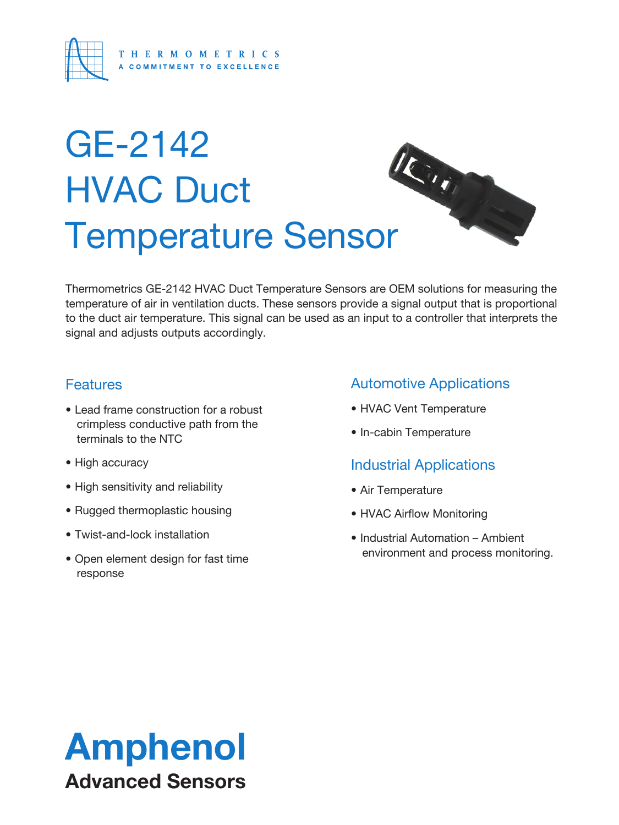

# GE-2142 HVAC Duct GE-2 FILL<br>HVAC Duct<br>Temperature Sensor

Thermometrics GE-2142 HVAC Duct Temperature Sensors are OEM solutions for measuring the temperature of air in ventilation ducts. These sensors provide a signal output that is proportional to the duct air temperature. This signal can be used as an input to a controller that interprets the signal and adjusts outputs accordingly.

### **Features**

- Lead frame construction for a robust crimpless conductive path from the terminals to the NTC
- High accuracy
- High sensitivity and reliability
- Rugged thermoplastic housing
- Twist-and-lock installation
- Open element design for fast time response

### Automotive Applications

- HVAC Vent Temperature
- In-cabin Temperature

## Industrial Applications

- Air Temperature
- HVAC Airflow Monitoring
- Industrial Automation Ambient environment and process monitoring.

## Amphenol Advanced Sensors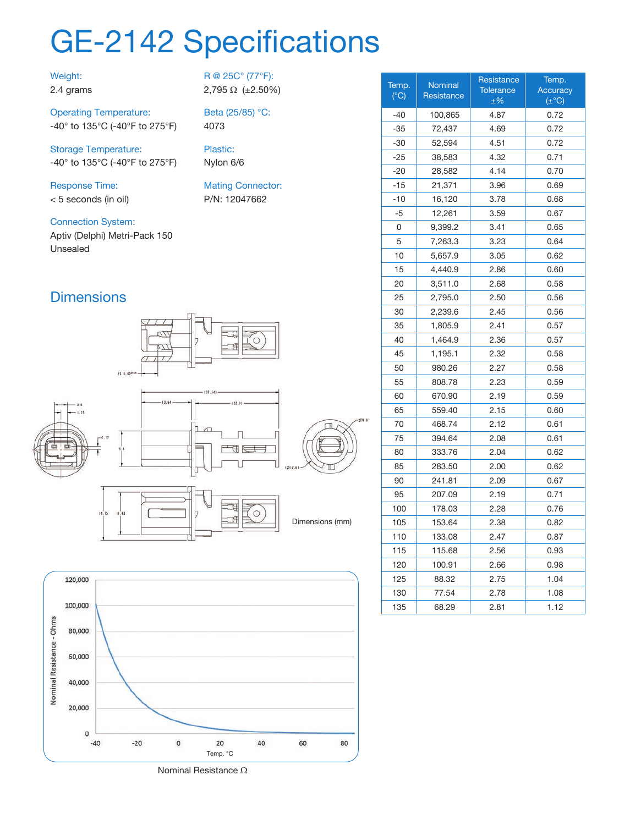## GE-2142 Specifications

4073

Plastic: Nylon 6/6

R @ 25C° (77°F): 2,795 Ω (±2.50%)

Beta (25/85) °C:

Mating Connector: P/N: 12047662

#### Weight: 2.4 grams

Operating Temperature: -40° to 135°C (-40°F to 275°F)

Storage Temperature: -40° to 135°C (-40°F to 275°F)

Response Time: < 5 seconds (in oil)

Connection System:

Aptiv (Delphi) Metri-Pack 150 Unsealed

## **Dimensions**







| Temp.<br>$(^{\circ}C)$ | <b>Nominal</b><br>Resistance | Resistance<br><b>Tolerance</b><br>$±\%$ | Temp.<br>Accuracy<br>$(\pm$ °C) |
|------------------------|------------------------------|-----------------------------------------|---------------------------------|
| $-40$                  | 100,865                      | 4.87                                    | 0.72                            |
| -35                    | 72,437                       | 4.69                                    | 0.72                            |
| -30                    | 52,594                       | 4.51                                    | 0.72                            |
| -25                    | 38,583                       | 4.32                                    | 0.71                            |
| -20                    | 28,582                       | 4.14                                    | 0.70                            |
| $-15$                  | 21,371                       | 3.96                                    | 0.69                            |
| -10                    | 16,120                       | 3.78                                    | 0.68                            |
| -5                     | 12,261                       | 3.59                                    | 0.67                            |
| 0                      | 9,399.2                      | 3.41                                    | 0.65                            |
| 5                      | 7,263.3                      | 3.23                                    | 0.64                            |
| 10                     | 5,657.9                      | 3.05                                    | 0.62                            |
| 15                     | 4,440.9                      | 2.86                                    | 0.60                            |
| 20                     | 3,511.0                      | 2.68                                    | 0.58                            |
| 25                     | 2,795.0                      | 2.50                                    | 0.56                            |
| 30                     | 2,239.6                      | 2.45                                    | 0.56                            |
| 35                     | 1,805.9                      | 2.41                                    | 0.57                            |
| 40                     | 1,464.9                      | 2.36                                    | 0.57                            |
| 45                     | 1,195.1                      | 2.32                                    | 0.58                            |
| 50                     | 980.26                       | 2.27                                    | 0.58                            |
| 55                     | 808.78                       | 2.23                                    | 0.59                            |
| 60                     | 670.90                       | 2.19                                    | 0.59                            |
| 65                     | 559.40                       | 2.15                                    | 0.60                            |
| 70                     | 468.74                       | 2.12                                    | 0.61                            |
| 75                     | 394.64                       | 2.08                                    | 0.61                            |
| 80                     | 333.76                       | 2.04                                    | 0.62                            |
| 85                     | 283.50                       | 2.00                                    | 0.62                            |
| 90                     | 241.81                       | 2.09                                    | 0.67                            |
| 95                     | 207.09                       | 2.19                                    | 0.71                            |
| 100                    | 178.03                       | 2.28                                    | 0.76                            |
| 105                    | 153.64                       | 2.38                                    | 0.82                            |
| 110                    | 133.08                       | 2.47                                    | 0.87                            |
| 115                    | 115.68                       | 2.56                                    | 0.93                            |
| 120                    | 100.91                       | 2.66                                    | 0.98                            |
| 125                    | 88.32                        | 2.75                                    | 1.04                            |
| 130                    | 77.54                        | 2.78                                    | 1.08                            |
| 135                    | 68.29                        | 2.81                                    | 1.12                            |

Nominal Resistance Ω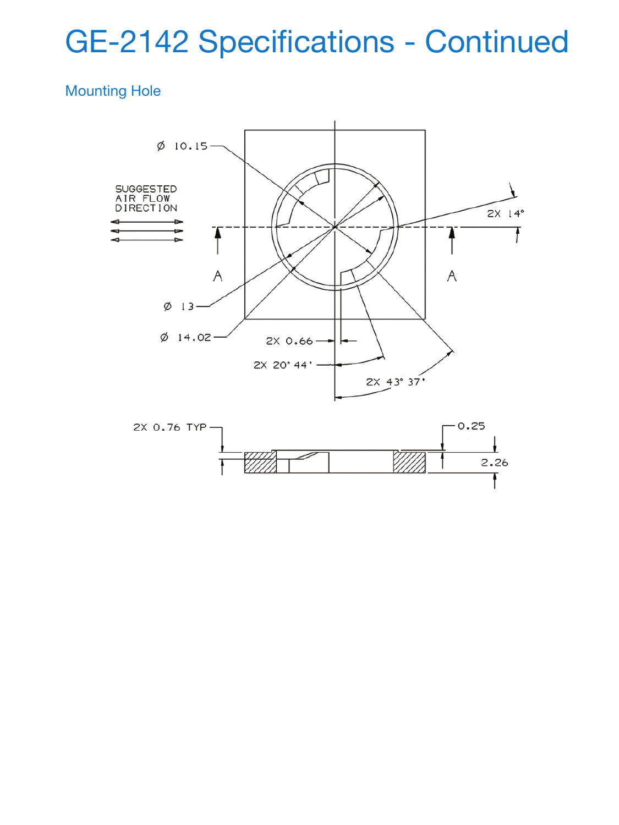## GE-2142 Specifications - Continued

## Mounting Hole